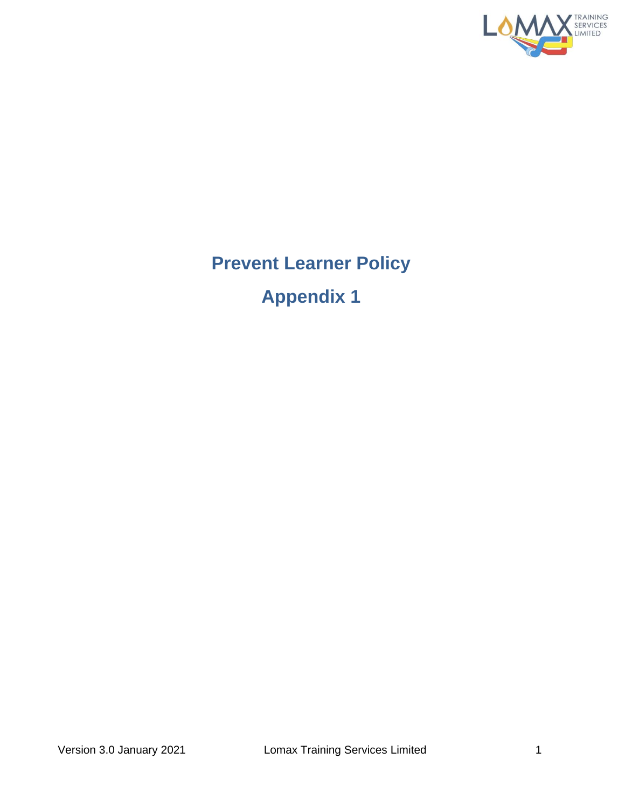

## **Prevent Learner Policy Appendix 1**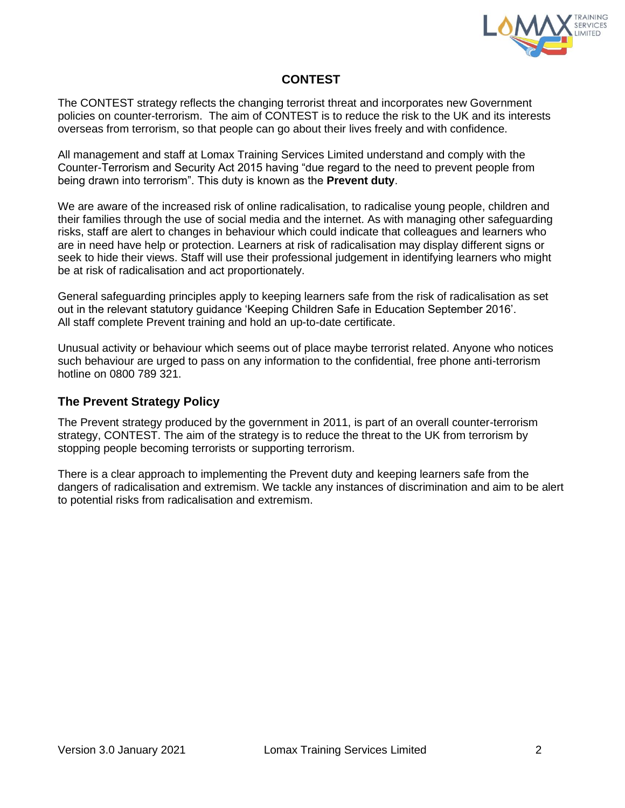

## **CONTEST**

The CONTEST strategy reflects the changing terrorist threat and incorporates new Government policies on counter-terrorism. The aim of CONTEST is to reduce the risk to the UK and its interests overseas from terrorism, so that people can go about their lives freely and with confidence.

All management and staff at Lomax Training Services Limited understand and comply with the Counter-Terrorism and Security Act 2015 having "due regard to the need to prevent people from being drawn into terrorism". This duty is known as the **Prevent duty**.

We are aware of the increased risk of online radicalisation, to radicalise young people, children and their families through the use of social media and the internet. As with managing other safeguarding risks, staff are alert to changes in behaviour which could indicate that colleagues and learners who are in need have help or protection. Learners at risk of radicalisation may display different signs or seek to hide their views. Staff will use their professional judgement in identifying learners who might be at risk of radicalisation and act proportionately.

General safeguarding principles apply to keeping learners safe from the risk of radicalisation as set out in the relevant statutory guidance 'Keeping Children Safe in Education September 2016'. All staff complete Prevent training and hold an up-to-date certificate.

Unusual activity or behaviour which seems out of place maybe terrorist related. Anyone who notices such behaviour are urged to pass on any information to the confidential, free phone anti-terrorism hotline on 0800 789 321.

## **The Prevent Strategy Policy**

The Prevent strategy produced by the government in 2011, is part of an overall counter-terrorism strategy, CONTEST. The aim of the strategy is to reduce the threat to the UK from terrorism by stopping people becoming terrorists or supporting terrorism.

There is a clear approach to implementing the Prevent duty and keeping learners safe from the dangers of radicalisation and extremism. We tackle any instances of discrimination and aim to be alert to potential risks from radicalisation and extremism.